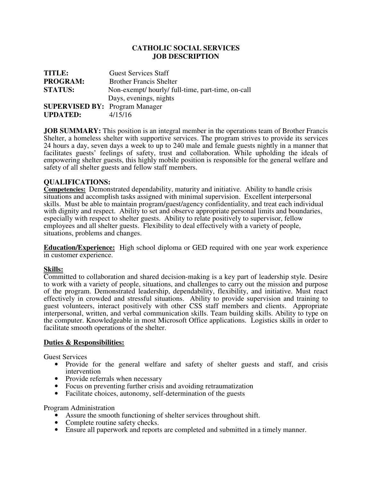## **CATHOLIC SOCIAL SERVICES JOB DESCRIPTION**

| <b>TITLE:</b>                         | <b>Guest Services Staff</b>                     |
|---------------------------------------|-------------------------------------------------|
| <b>PROGRAM:</b>                       | <b>Brother Francis Shelter</b>                  |
| <b>STATUS:</b>                        | Non-exempt/hourly/full-time, part-time, on-call |
|                                       | Days, evenings, nights                          |
| <b>SUPERVISED BY: Program Manager</b> |                                                 |
| <b>UPDATED:</b>                       | 4/15/16                                         |

**JOB SUMMARY:** This position is an integral member in the operations team of Brother Francis Shelter, a homeless shelter with supportive services. The program strives to provide its services 24 hours a day, seven days a week to up to 240 male and female guests nightly in a manner that facilitates guests' feelings of safety, trust and collaboration. While upholding the ideals of empowering shelter guests, this highly mobile position is responsible for the general welfare and safety of all shelter guests and fellow staff members.

## **QUALIFICATIONS:**

**Competencies:** Demonstrated dependability, maturity and initiative. Ability to handle crisis situations and accomplish tasks assigned with minimal supervision. Excellent interpersonal skills. Must be able to maintain program/guest/agency confidentiality, and treat each individual with dignity and respect. Ability to set and observe appropriate personal limits and boundaries, especially with respect to shelter guests. Ability to relate positively to supervisor, fellow employees and all shelter guests. Flexibility to deal effectively with a variety of people, situations, problems and changes.

**Education/Experience:** High school diploma or GED required with one year work experience in customer experience.

## **Skills:**

Committed to collaboration and shared decision-making is a key part of leadership style. Desire to work with a variety of people, situations, and challenges to carry out the mission and purpose of the program. Demonstrated leadership, dependability, flexibility, and initiative. Must react effectively in crowded and stressful situations. Ability to provide supervision and training to guest volunteers, interact positively with other CSS staff members and clients. Appropriate interpersonal, written, and verbal communication skills. Team building skills. Ability to type on the computer. Knowledgeable in most Microsoft Office applications. Logistics skills in order to facilitate smooth operations of the shelter.

## **Duties & Responsibilities:**

Guest Services

- Provide for the general welfare and safety of shelter guests and staff, and crisis intervention
- Provide referrals when necessary
- Focus on preventing further crisis and avoiding retraumatization
- Facilitate choices, autonomy, self-determination of the guests

Program Administration

- Assure the smooth functioning of shelter services throughout shift.
- Complete routine safety checks.
- Ensure all paperwork and reports are completed and submitted in a timely manner.